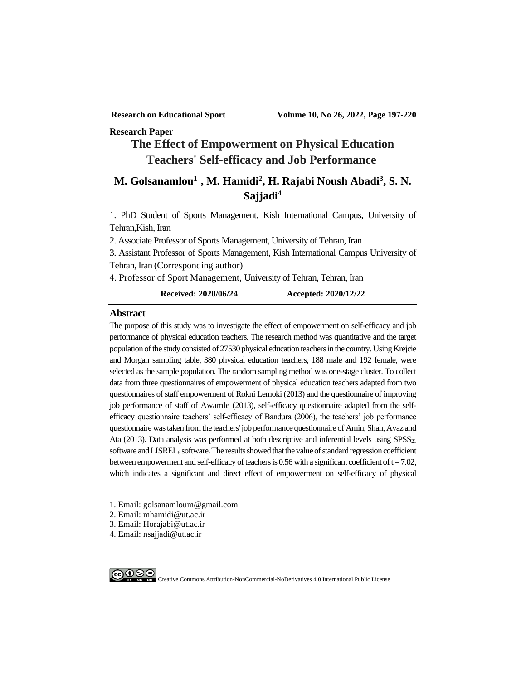#### **Research Paper**

# **The Effect of Empowerment on Physical Education Teachers' Self-efficacy and Job Performance<sup>1</sup>**

# **M. Golsanamlou<sup>12</sup> , M. Hamidi<sup>2</sup> , H. Rajabi Noush Abadi<sup>3</sup> , S. N. Sajjadi<sup>4</sup>**

1. PhD Student of Sports Management, Kish International Campus, University of Tehran,Kish, Iran

2. Associate Professor of Sports Management, University of Tehran, Iran

3. Assistant Professor of Sports Management, Kish International Campus University of Tehran, Iran (Corresponding author)

4. Professor of Sport Management, University of Tehran, Tehran, Iran

#### **Received: 2020/06/24 Accepted: 2020/12/22**

#### **Abstract**

The purpose of this study was to investigate the effect of empowerment on self-efficacy and job performance of physical education teachers. The research method was quantitative and the target population of the study consisted of 27530 physical education teachers in the country. Using Krejcie and Morgan sampling table, 380 physical education teachers, 188 male and 192 female, were selected as the sample population. The random sampling method was one-stage cluster. To collect data from three questionnaires of empowerment of physical education teachers adapted from two questionnaires of staff empowerment of Rokni Lemoki (2013) and the questionnaire of improving job performance of staff of Awamle (2013), self-efficacy questionnaire adapted from the selfefficacy questionnaire teachers' self-efficacy of Bandura (2006), the teachers' job performance questionnaire was taken from the teachers' job performance questionnaire of Amin, Shah, Ayaz and Ata (2013). Data analysis was performed at both descriptive and inferential levels using  $SPSS<sub>21</sub>$ software and  $LISTEL_8$  software. The results showed that the value of standard regression coefficient between empowerment and self-efficacy of teachers is 0.56 with a significant coefficient of  $t = 7.02$ , which indicates a significant and direct effect of empowerment on self-efficacy of physical

<sup>4.</sup> Email: nsajjadi@ut.ac.ir



<sup>1.</sup> Email: golsanamloum@gmail.com

<sup>2.</sup> Email: mhamidi@ut.ac.ir

<sup>3.</sup> Email: Horajabi@ut.ac.ir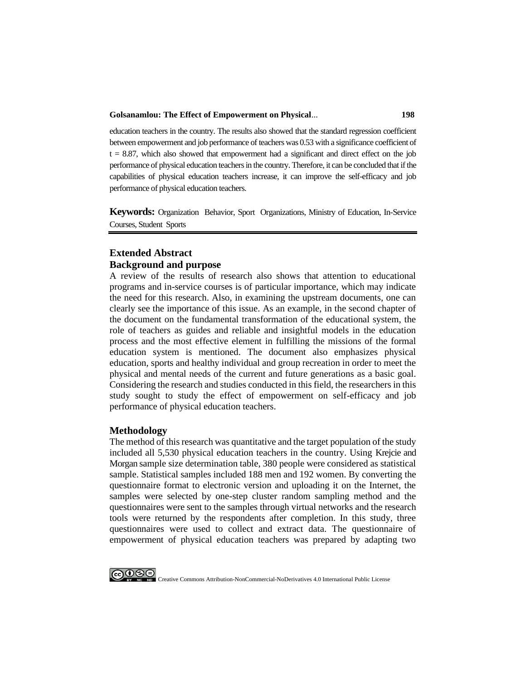#### **Golsanamlou: The Effect of Empowerment on Physical**... **198**

education teachers in the country. The results also showed that the standard regression coefficient between empowerment and job performance of teachers was 0.53 with a significance coefficient of  $t = 8.87$ , which also showed that empowerment had a significant and direct effect on the job performance of physical education teachers in the country. Therefore, it can be concluded that if the capabilities of physical education teachers increase, it can improve the self-efficacy and job performance of physical education teachers.

**Keywords:** Organization Behavior, Sport Organizations, Ministry of Education, In-Service Courses, Student Sports

#### **Extended Abstract Background and purpose**

A review of the results of research also shows that attention to educational programs and in-service courses is of particular importance, which may indicate the need for this research. Also, in examining the upstream documents, one can clearly see the importance of this issue. As an example, in the second chapter of the document on the fundamental transformation of the educational system, the role of teachers as guides and reliable and insightful models in the education process and the most effective element in fulfilling the missions of the formal education system is mentioned. The document also emphasizes physical education, sports and healthy individual and group recreation in order to meet the physical and mental needs of the current and future generations as a basic goal. Considering the research and studies conducted in this field, the researchers in this study sought to study the effect of empowerment on self-efficacy and job performance of physical education teachers.

#### **Methodology**

The method of this research was quantitative and the target population of the study included all 5,530 physical education teachers in the country. Using Krejcie and Morgan sample size determination table, 380 people were considered as statistical sample. Statistical samples included 188 men and 192 women. By converting the questionnaire format to electronic version and uploading it on the Internet, the samples were selected by one-step cluster random sampling method and the questionnaires were sent to the samples through virtual networks and the research tools were returned by the respondents after completion. In this study, three questionnaires were used to collect and extract data. The questionnaire of empowerment of physical education teachers was prepared by adapting two

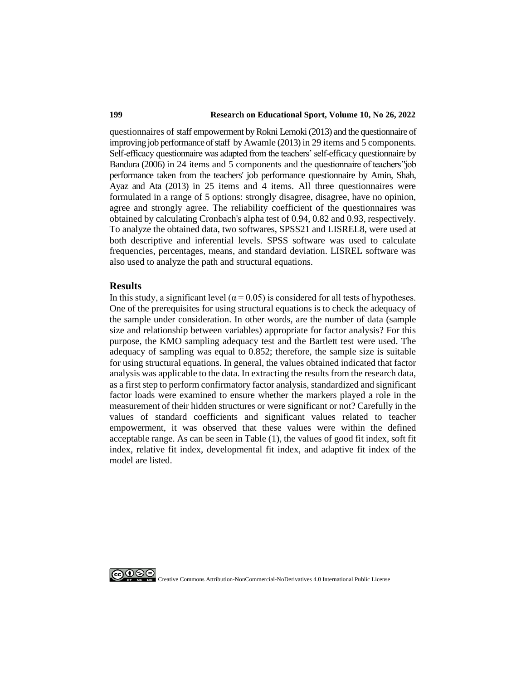#### **199 Research on Educational Sport, Volume 10, No 26, 2022**

questionnaires of staff empowerment by Rokni Lemoki (2013) and the questionnaire of improving job performance of staff by Awamle (2013) in 29 items and 5 components. Self-efficacy questionnaire was adapted from the teachers' self-efficacy questionnaire by Bandura (2006) in 24 items and 5 components and the questionnaire of teachers''job performance taken from the teachers' job performance questionnaire by Amin, Shah, Ayaz and Ata (2013) in 25 items and 4 items. All three questionnaires were formulated in a range of 5 options: strongly disagree, disagree, have no opinion, agree and strongly agree. The reliability coefficient of the questionnaires was obtained by calculating Cronbach's alpha test of 0.94, 0.82 and 0.93, respectively. To analyze the obtained data, two softwares, SPSS21 and LISREL8, were used at both descriptive and inferential levels. SPSS software was used to calculate frequencies, percentages, means, and standard deviation. LISREL software was also used to analyze the path and structural equations.

#### **Results**

In this study, a significant level ( $\alpha$  = 0.05) is considered for all tests of hypotheses. One of the prerequisites for using structural equations is to check the adequacy of the sample under consideration. In other words, are the number of data (sample size and relationship between variables) appropriate for factor analysis? For this purpose, the KMO sampling adequacy test and the Bartlett test were used. The adequacy of sampling was equal to 0.852; therefore, the sample size is suitable for using structural equations. In general, the values obtained indicated that factor analysis was applicable to the data. In extracting the results from the research data, as a first step to perform confirmatory factor analysis, standardized and significant factor loads were examined to ensure whether the markers played a role in the measurement of their hidden structures or were significant or not? Carefully in the values of standard coefficients and significant values related to teacher empowerment, it was observed that these values were within the defined acceptable range. As can be seen in Table (1), the values of good fit index, soft fit index, relative fit index, developmental fit index, and adaptive fit index of the model are listed.

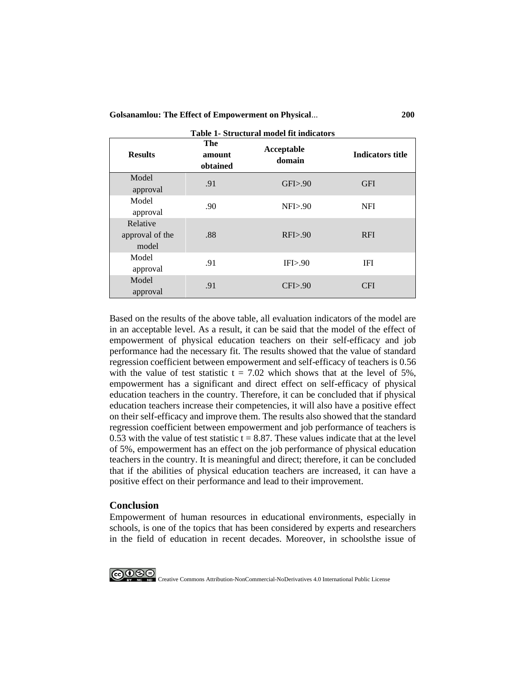**Golsanamlou: The Effect of Empowerment on Physical**... **200**

| Table 1- Structural model fit indicators |                           |                      |                         |
|------------------------------------------|---------------------------|----------------------|-------------------------|
| <b>Results</b>                           | The<br>amount<br>obtained | Acceptable<br>domain | <b>Indicators title</b> |
| Model                                    | .91                       | GFI > .90            | <b>GFI</b>              |
| approval                                 |                           |                      |                         |
| Model                                    | .90                       | $NF1$ $> 90$         | <b>NFI</b>              |
| approval                                 |                           |                      |                         |
| Relative                                 |                           |                      |                         |
| approval of the                          | .88                       | RFI>0.90             | <b>RFI</b>              |
| model                                    |                           |                      |                         |
| Model                                    | .91                       | IFI>90               | IFI                     |
| approval                                 |                           |                      |                         |
| Model                                    | .91                       | CFI > .90            | <b>CFI</b>              |
| approval                                 |                           |                      |                         |

Based on the results of the above table, all evaluation indicators of the model are in an acceptable level. As a result, it can be said that the model of the effect of empowerment of physical education teachers on their self-efficacy and job performance had the necessary fit. The results showed that the value of standard regression coefficient between empowerment and self-efficacy of teachers is 0.56 with the value of test statistic  $t = 7.02$  which shows that at the level of 5%, empowerment has a significant and direct effect on self-efficacy of physical education teachers in the country. Therefore, it can be concluded that if physical education teachers increase their competencies, it will also have a positive effect on their self-efficacy and improve them. The results also showed that the standard regression coefficient between empowerment and job performance of teachers is 0.53 with the value of test statistic  $t = 8.87$ . These values indicate that at the level of 5%, empowerment has an effect on the job performance of physical education teachers in the country. It is meaningful and direct; therefore, it can be concluded that if the abilities of physical education teachers are increased, it can have a positive effect on their performance and lead to their improvement.

#### **Conclusion**

Empowerment of human resources in educational environments, especially in schools, is one of the topics that has been considered by experts and researchers in the field of education in recent decades. Moreover, in schoolsthe issue of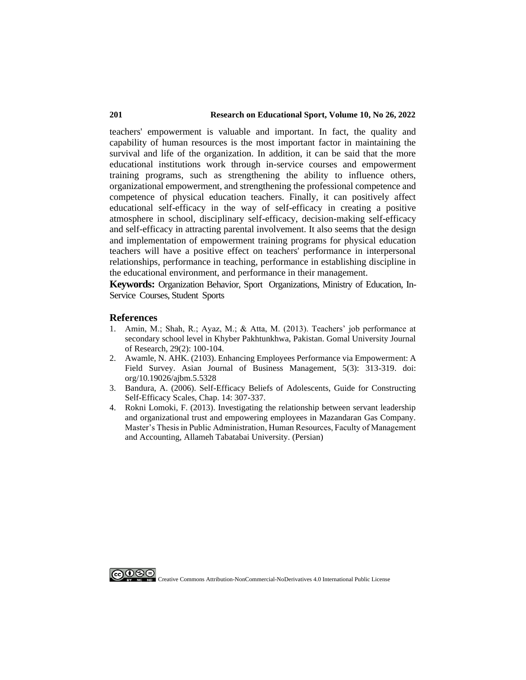teachers' empowerment is valuable and important. In fact, the quality and capability of human resources is the most important factor in maintaining the survival and life of the organization. In addition, it can be said that the more educational institutions work through in-service courses and empowerment training programs, such as strengthening the ability to influence others, organizational empowerment, and strengthening the professional competence and competence of physical education teachers. Finally, it can positively affect educational self-efficacy in the way of self-efficacy in creating a positive atmosphere in school, disciplinary self-efficacy, decision-making self-efficacy and self-efficacy in attracting parental involvement. It also seems that the design and implementation of empowerment training programs for physical education teachers will have a positive effect on teachers' performance in interpersonal relationships, performance in teaching, performance in establishing discipline in the educational environment, and performance in their management.

**Keywords:** Organization Behavior, Sport Organizations, Ministry of Education, In-Service Courses, Student Sports

#### **References**

- 1. Amin, M.; Shah, R.; Ayaz, M.; & Atta, M. (2013). Teachers' job performance at secondary school level in Khyber Pakhtunkhwa, Pakistan. Gomal University Journal of Research, 29(2): 100-104.
- 2. Awamle, N. AHK. (2103). Enhancing Employees Performance via Empowerment: A Field Survey. Asian Journal of Business Management, 5(3): 313-319. doi: org/10.19026/ajbm.5.5328
- 3. Bandura, A. (2006). Self-Efficacy Beliefs of Adolescents, Guide for Constructing Self-Efficacy Scales, Chap. 14: 307-337.
- 4. Rokni Lomoki, F. (2013). Investigating the relationship between servant leadership and organizational trust and empowering employees in Mazandaran Gas Company. Master's Thesis in Public Administration, Human Resources, Faculty of Management and Accounting, Allameh Tabatabai University. (Persian)

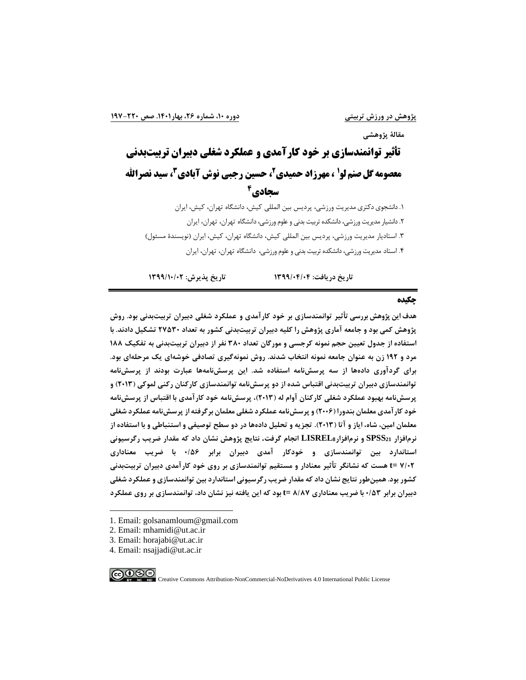**مقالة پژوهشی**

# **تأثیر توانمندسازی بر خود کارآمدی و عملکرد شغلی دبیران تربیتبدنی معصومه گل صنم لو<sup>1</sup> ، مهرزاد حمیدی ً، حسین رجبی نوش آبادی <sup>۲</sup>، سید نصرالله**

# **4 سجادی**

.1 دانشجوی دکتری مدیریت ورزشی، پردیس بین المللی کیش، دانشگاه تهران، کیش، ایران .2 دانشیار مدیریت ورزشی، دانشکده تربیت بدنی و علوم ورزشی، دانشگاه تهران، تهران، ایران .3 استادیار مدیریت ورزشی، پردیس بین المللی کیش، دانشگاه تهران، کیش، ایران ) نویسندۀ مسئول( .4 استاد مدیریت ورزشی، دانشکده تربیت بدنی و علوم ورزشی، دانشگاه تهران، تهران، ایران

**تاريخ دريافت: 1399/04/04 تاريخ پذيرش: 1399/10/02**

#### **چکیده**

**هدف اين پژوهش بررسی تأثیر توانمندسازی بر خود کارآمدی و عملکرد شغلی دبیران تربیتبدنی بود. روش پژوهش کمی بود و جامعه آماری پژوهش را کلیه دبیران تربیتبدنی کشور به تعداد 27530 تشکیل دادند. با استفاده از جدول تعیین حجم نمونه کرجسی و مورگان تعداد 380 نفر از دبیران تربیتبدنی به تفکیک 188 مرد و 192 زن به عنوان جامعه نمونه انتخاب شدند. روش نمونهگیری تصادفی خوشهای يک مرحلهای بود. برای گردآوری دادهها از سه پرسشنامه استفاده شد. اين پرسشنامهها عبارت بودند از پرسشنامه توانمندسازی دبیران تربیتبدنی اقتباس شده از دو پرسشنامه توانمندسازی کارکنان رکنی لموکی )2013( و پرسشنامه بهبود عملکرد شغلی کارکنان آوام له ) 2013(، پرسشنامه خود کارآمدی با اقتباس از پرسشنامه خود کارآمدی معلمان بندورا ) 2006( و پرسشنامه عملکرد شغلی معلمان برگرفته از پرسشنامه عملکرد شغلی معلمان امین، شاه، اياز و آتا ) 2013(. تجزيه و تحلیل دادهها در دو سطح توصیفی و استنباطی و با استفاده از نرمافزار 21SPSS و نرمافزار8LISREL انجام گرفت. نتايج پژوهش نشان داد که مقدار ضريب رگرسیونی استاندارد بین توانمندسازی و خودکار آمدی دبیران برابر 0/56 با ضريب معناداری 7/02 =t هست که نشانگر تأثیر معنادار و مستقیم توانمندسازی بر روی خود کارآمدی دبیران تربیتبدنی کشور بود. همینطور نتايج نشان داد که مقدار ضريب رگرسیونی استاندارد بین توانمندسازی و عملکرد شغلی دبیران برابر 0/53 با ضريب معناداری 8/87 =t بود که اين يافته نیز نشان داد، توانمندسازی بر روی عملکرد** 

- 1. Email: golsanamloum@gmail.com
- 2. Email: mhamidi@ut.ac.ir
- 3. Email: horajabi@ut.ac.ir
- 4. Email: nsajjadi@ut.ac.ir

ெ⊕⊕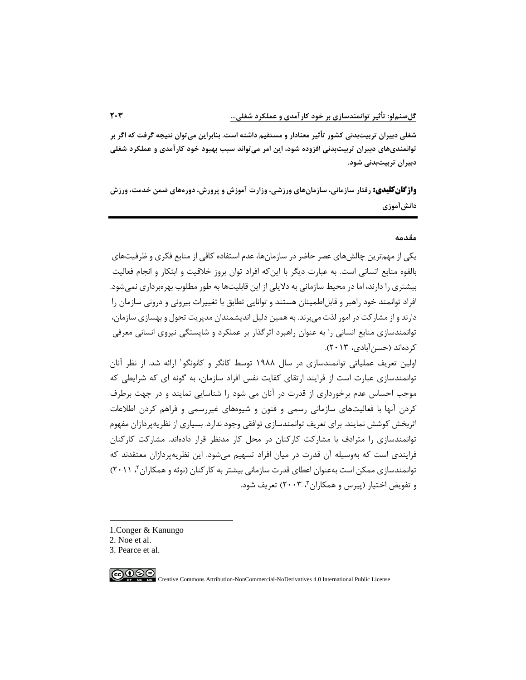**شغلی دبیران تربیتبدنی کشور تأثیر معنا دار و مستقیم داشته است. بنابراين می توان نتیجه گرفت که اگر بر توانمندیهای دبیران تربیتبدنی افزوده شود، اين امر می تواند سبب بهبود خود کارآمدی و عملکرد شغلی دبیران تربیتبدنی شود.** 

**واژگانکلیدی: رفتار سازمانی، سازمانهای ورزشی، وزارت آموزش و پرورش، دورههای ضمن خدمت، ورزش دانشآموزی** 

#### **مقدم ه**

یکی از مهمترین چالشهای عصر حاضر در سازمان ها، عدم استفاده کافی از منابع فکری و ظرفیتهای بالقوه منابع انسانی است. به عبارت دیگر با اینکه افراد توان بروز خالقیت و ابتکار و انجام فعالیت بیشتری را دارند، اما در محیط سازمانی به دالیلی از این قابلیتها به طور مطلوب بهره برداری نمی شود. افراد توانمند خود راهبر و قابل|طمینان هستند و توانایی تطابق با تغییرات بیرونی و درونی سازمان را دارند و از مشارکت در امور لذت میبرند. به همین دلیل اندیشمندان مدیریت تحول و بهسازی سازمان، توانمندسازی منابع انسانی را به عنوان راهبرد اثرگذار بر عملکرد و شایستگی نیروی انسانی معرفی کردهاند )حسنآبادی، 2013(.

1 اولین تعریف عملیاتی توانمندسازی در سال 1۹۸۸ توسط کانگر و کانونگو ارائه شد. از نظر آنان توانمندسازی عبارت است از فرایند ارتقای کفایت نفس افراد سازمان، به گونه ای که شرایطی که موجب احساس عدم برخورداری از قدرت در آنان می شود را شناسایی نمایند و در جهت برطرف کردن آنها با فعالیتهای سازمانی رسمی و فنون و شیوه های غیررسمی و فراهم کردن اطالعات اثربخش کوشش نمایند. برای تعریف توانمندسازی توافقی وجود ندارد. بسیاری از نظریه پردازان مفهوم توانمندسازی را مترادف با مشارکت کارکنان در محل کار مدنظر قرار دادهاند. مشارکت کارکنان فرایندی است که بهوسیله آن قدرت در میان افراد تسهیم میشود . این نظریهپردازان معتقدند که توانمندسازی ممکن است بهعنوان اعطای قدرت سازمانی بیشتر به کارکنان (نوئه و همکاران ۲ ، ۲۰۱۱) و تفویض اختیار (پیرس و همکاران۳، ۲۰۰۳) تعریف شود.

- 1.Conger & Kanungo
- 2. Noe et al.

3. Pearce et al.

$$
\bigcirc \textcircled{\tiny{\textcircled{\#}}}
$$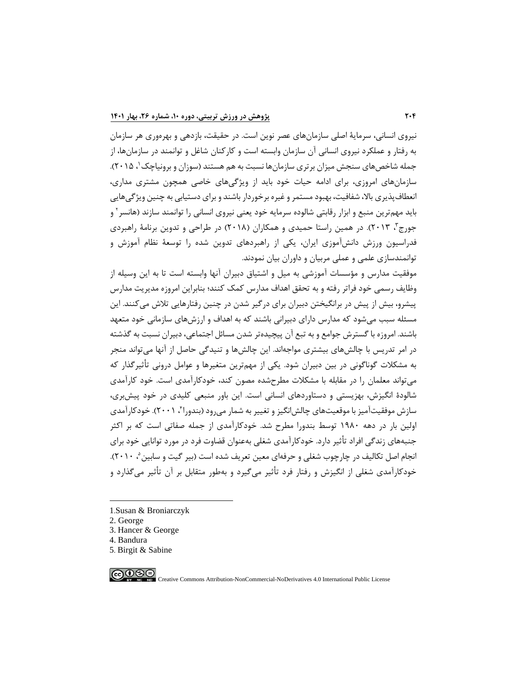نیروی انسانی، سرما یۀ اصلی سازمانهای عصر نوین است. در حقیقت، بازدهی و بهرهوری هر سازمان به رفتار و عملکرد نیروی انسانی آن سازمان وابسته است و کارکنان شاغل و توانمند در سازمانها ، از جمله شاخصهای سنجش میزان برتری سازمانها نسبت به هم هستند (سوزان و برونیاچک '، ۲۰۱۵). سازمانهای امروزی، برای ادامه حیات خود باید از و یژگیهای خاصی همچون مشتری مداری، انعطافپذیری بالا، شفافیت، بهبود مستمر و غیره برخوردار باشند و برای دستیابی به چنین ویژگی هایی باید مهمترین منبع و ابزار رقابتی شالوده سرمایه خود یعنی نیروی انسانی را توانمند سازند (هانسر ` و جورج"، ۲۰۱۳). در همین راستا حمیدی و همکاران (۲۰۱۸) در طراحی و تدوین برنامۀ راهبردی فدراسیون ورزش دانشآموزی ایران، یکی از راهبردهای تدوین شده را توسعۀ نظام آموزش و توانمندسازی علمی و عملی مربیان و داوران بیان نمودند.

موفقیت مدارس و مؤسسات آموزشی به میل و اشتیاق دبیران آنها وابسته است تا به این وسیله از وظایف رسمی خود فراتر رفته و به تحقق اهداف مدارس کمک کنند؛ بنابراین امروزه مدیریت مدارس پیشرو، بیش از پیش در برانگیختن دبیران برای درگیر شدن در چنین رفتارهایی تالش میکنند. این مسئله سبب میشود که مدارس دارای دبیرانی باشند که به اهداف و ارزش های سازمانی خود متعهد باشند. امروزه با گسترش جوامع و به تبع آن پیچیدهتر شدن مسائل اجتماعی، دبیران نسبت به گذشته در امر تدریس با چالش،ای بیشتری مواجهاند. این چالش،ا و تنیدگی حاصل از آنها می تواند منجر به مشکالت گوناگونی در بین دبیران شود. یکی از مهمترین متغیرها و عوامل درونی تأثیرگذار که میتواند معلمان را در مقابله با مشکالت مطرح شده مصون کند، خودکارآمدی است. خود کارآمدی شالودۀ انگیزش، بهزیستی و دستاوردهای انسانی است. این باور منبعی کلیدی در خود پ یشبری، سازش موفقیتآمیز با موقعیتهای چالش|نگیز و تغییر به شمار میرود (بندورا"، ۲۰۰۱). خودکارآمدی اولین بار در دهه 1۹۸0 توسط بندورا مطرح شد. خودکارآمدی از جمله صفاتی است که بر اکثر جنبه های زندگی افراد تأثیر دارد. خودکارآمدی شغلی بهعنوان قضاوت فرد در مورد توانایی خود برای نجام اصل تکالیف در چارچوب شغلی و حرفهای معین تعریف شده است (بیر گیت و سابین °، ۲۰۱۰). خودکارآمدی شغلی از انگیزش و رفتار فرد تأثیر می گیرد و بهطور متقابل بر آن تأثیر میگذارد و

- 1.Susan & Broniarczyk
- 2. George
- 3. Hancer & George
- 4. Bandura
- 5. Birgit & Sabine

$$
\bigcirc \bigcirc \bigcirc \bigcirc \bigcirc
$$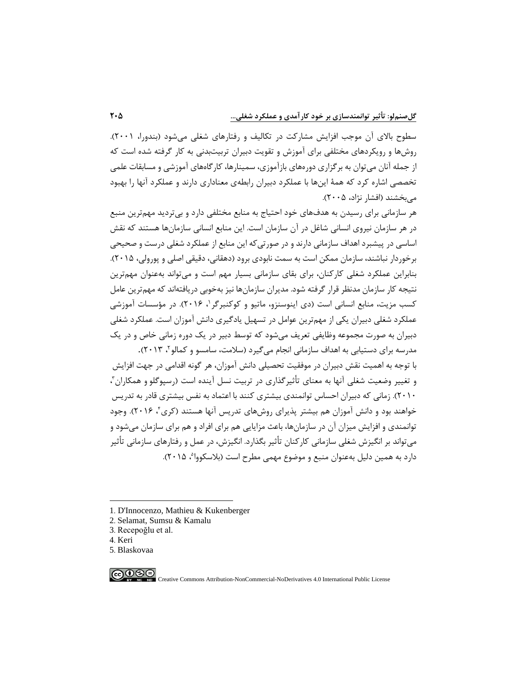سطوح بالای آن موجب افزایش مشارکت در تکالیف و رفتارهای شغلی می شود (بندورا، ۲۰۰۱). روشها و رویکردهای مختلفی برای آموزش و تقویت دبیران تربیت بدنی به کار گرفته شده است که از جمله آنان میتوان به برگزاری دورههای بازآموزی، سمینارها، کارگاههای آموزشی و مسابقات علمی تخصصی اشاره کرد که همۀ اینها با عملکرد دبیران رابطهی معناداری دارند و عملکرد آنها را بهبود می بخشند (افشار نژاد، ۲۰۰۵).

هر سازمانی برای رسیدن به هدفهای خود احتیاج به منابع مختلفی دارد و بی تردید مهمترین منبع در هر سازمان نیروی انسانی شاغل در آن سازمان است. این منابع انسانی سازمانها هستند که نقش اساسی در پیشبرد اهداف سازمانی دارند و در صورتی که این منابع از عملکرد شغلی درست و صحیحی برخوردار نباشند، سازمان ممکن است به سمت نابودی برود (دهقانی، دقیقی اصلی و پورولی، ۲۰۱۵). بنابراین عملکرد شغلی کارکنان، برای بقای سازمانی بسیار مهم است و می تواند بهعنوان مهمترین نتیجه کار سازمان مدنظر قرار گرفته شود. مدیران سازمانها نیز بهخوبی دریافتهاند که مهمترین عامل کسب مزیت، منابع انسانی است (دی اینوسنزو، ماتیو و کوکنبرگر <sup>۱</sup>، ۲۰۱۶). در مؤسسات آموزشی عملکرد شغلی دبیران یکی از مهمترین عوامل در تسهیل یادگیری دانش آموزان است. عملکرد شغلی دبیران به صورت مجموعه وظایفی تعریف می شود که توسط دبیر در یک دوره زمانی خاص و در یک مدرسه برای دستیابی به اهداف سازمانی انجام میگیرد (سلامت، سامسو و کمالو۲، ۲۰۱۳).

با توجه به اهمیت نقش دبیران در موفقیت تحصیلی دانش آموزان، هر گونه اقدامی در جهت افزایش و تغییر وضعیت شغلی آنها به معنای تأثیرگذاری در تربیت نسل آینده است (رسپوگلو و همکاران ّ، 2010(. زمانی که دبیران احساس توانمندی بیشتری کنند با اعتماد به نفس بیشتری قادر به تدریس خواهند بود و دانش آموزان هم بیشتر پذیرای روشهای تدریس آنها هستند (کری۴ ۲۰۱۶). وجود توانمندی و افزایش میزان آن در سازمانها، باعث مزایایی هم برای افراد و هم برای سازمان می شود و میتواند بر انگیزش شغلی سازمانی کارکنان تأثیر بگذارد. انگیزش، در عمل و رفتارهای سازمانی تأثیر دارد به همین دلیل بهعنوان منبع و موضوع مهمی مطرح است (بلاسکووا<sup>م</sup>، ۲۰۱۵).

- 2. Selamat, Sumsu & Kamalu
- 3. Recepoğlu et al.
- 4. Keri
- 5. Blaskovaa

**@099** 

<sup>1</sup>. D'Innocenzo, Mathieu & Kukenberger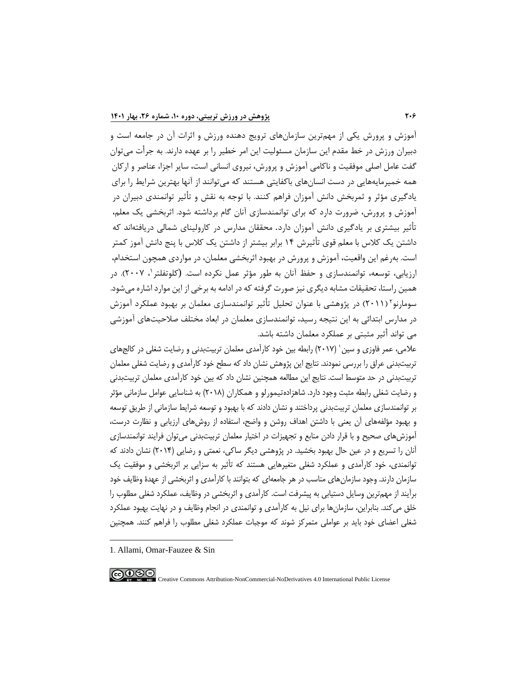آموزش و پرورش یکی از مهمترین سازمانهای ترویج دهنده ورزش و اثرات آن در جامعه است و دبیران ورزش در خط مقدم این سازمان مسئولیت این امر خطیر را بر عهده دارند. به جرأت میتوان گفت عامل اصلی موفقیت و ناکامی آموزش و پرورش، نیروی انسانی است، سایر اجزا، عناصر و ارکان همه خمیرمایههایی در دست انسانهای باکفایتی هستند که میتوانند از آنها بهترین شرایط را برای یادگیری مؤثر و ثمربخش دانش آموزان فراهم کنند. با توجه به نقش و تأثیر توانمندی دبیران در آموزش و پرورش، ضرورت دارد که برای توانمندسازی آنان گام برداشته شود. اثربخشی یک معلم، تأثیر بیشتری بر یادگیری دانش آموزان دارد. محققان مدارس در کارولینای شمالی دریافتهاند که داشتن یک کلاس با معلم قوی تأثیرش ۱۴ برابر بیشتر از داشتن یک کلاس با پنج دانش آموز کمتر است. بهرغم این واقعیت، آموزش و پرورش در بهبود اثربخشی معلمان، در مواردی همچون استخدام، رزیابی، توسعه، توانمندسازی و حفظ آنان به طور مؤثر عمل نکرده است. (کلوتفلتر '، ۲۰۰۷). در همین راستا، تحقیقات مشابه دیگری نیز صورت گرفته که در ادامه به برخی از این موارد اشاره می شود. سومارنو<sup>۲</sup> (۲۰۱۱) در پژوهشی با عنوان تحلیل تأثیر توانمندسازی معلمان بر بهبود عملکرد آموزش در مدارس ابتدائ ی به این نتیجه رسید، توانمندسازی معلمان در ابعاد مختلف صالحیتهای آموزشی می تواند أثیر مثبتی بر عملکرد معلمان داشته باشد.

علامی، عمر فاوزی و سین ' (۲۰۱۷) رابطه بین خود کارآمدی معلمان تربیتبدنی و رضایت شغلی در کالجهای تربیتبدنی عراق را بررسی نمودند. نتایج این پژوهش نشان داد که سطح خود کارآمدی و رضایت شغلی معلمان تربیتبدنی در حد متوسط است. نتایج این مطالعه همچنین نشان داد که بین خود کارآمدی معلمان تربیتبدنی و رضایت شغلی رابطه مثبت وجود دارد. شاهزادهتیمورلو و همکاران )2018( به شناسایی عوامل سازمانی مؤثر بر توانمندسازی معلمان تربیتبدنی پرداختند و نشان دادند که با بهبود و توسعه شرایط سازمانی از طریق توسعه و بهبود مؤلفههای آن یعنی با داشتن اهداف روشن و واضح، استفاده از روشهای ارزیابی و نظارت درست، آموزشهای صحیح و با قرار دادن منابع و تجهیزات در اختیار معلمان تربیتبدنی می توان فرایند توانمندسازی آنان را تسریع و در عین حال بهبود بخشید. در پژوهشی دیگر ساکی، نعمتی و رضایی )2014( نشان دادند که توانمندی،خود کارآمدی و عملکرد شغلی متغیرهایی هستند که تأثیر به سزایی بر اثربخشی و موفقیت یک سازمان دارند. وجود سازمانهای مناسب در هر جامعهای که بتوانند با کارآمدی و اثربخشی از عهدۀ وظایف خود برآیند از مهمترین وسایل دستیابی به پیشرفت است. کارآمدی و اثربخشی در وظایف، عملکرد شغلی مطلوب را خلق میکند. بنابراین، سازمان ها برای نیل به کارآمدی و توانمندی در انجام وظایف و در نهایت بهبود عملکرد شغلی اعضای خود باید بر عواملی متمرکز شوند که موجبات عملکرد شغل ی مطلوب را فراهم کنند. همچنین

<sup>1</sup>. Allami, Omar-Fauzee & Sin

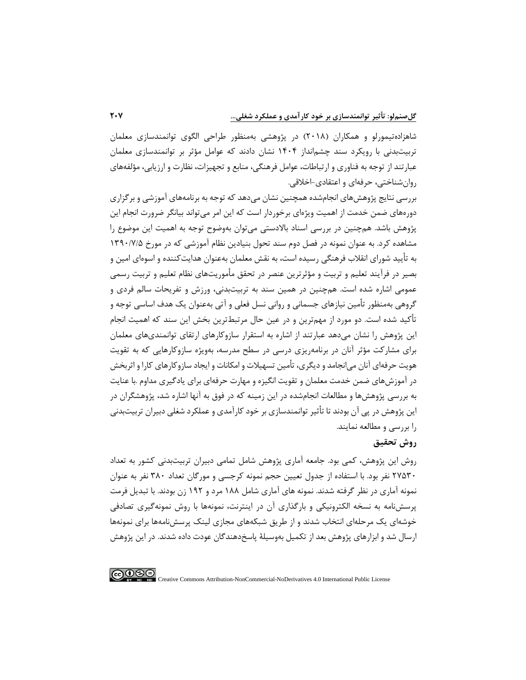شاهزادهتیمورلو و همکاران )201۸( در پژوهشی بهمنظور طراحی الگوی توانمندسازی معلمان تربیتبدنی با رویکرد سند چشمانداز 1404 نشان دادند که عوامل مؤثر بر توانمندسازی معلمان عبارتند از توجه به فناوری و ارتباطات، عوامل فرهنگی، منابع و تجهیزات، نظارت و ارزیابی، مؤلفههای روان شناختی، حرفهای و اعتقادی- اخالقی.

بررسی نتایج پژوهش های انجامشده همچنین نشان می دهد که توجه به برنامههای آموزشی و برگزاری دورههای ضمن خدمت از اهمیت ویژهای برخوردار است که این امر میتواند بیانگر ضرورت انجام این پژوهش باشد. همچنین در بررسی اسناد بالادستی میتوان بهوضوح توجه به اهمیت این موضوع را مشاهده کرد. به عنوان نمونه در فصل دوم سند تحول بنیادین نظام آموزشی که در مورخ 13۹0/7/۵ به تأیید شورای انقالب فرهنگی رسیده است، به نقش معلمان بهعنوان هدایتکننده و اسوهای امین و بصیر در فرآیند تعلیم و تربیت و مؤثرترین عنصر در تحقق مأموریتهای نظام تعلیم و تربیت رسمی عمومی اشاره شده است. همچنین در همین سند به تربیتبدنی، ورزش و تفریحات سالم فردی و گروهی بهمنظور تأمین نیازهای جسمانی و روانی نسل فعلی و آتی بهعنوان یک هدف اساسی توجه و تأکید شده است. دو مورد از مهمترین و در عین حال مرتبطترین بخش این سند که اهمیت انجام این پژوهش را نشان میدهد عبارتند از اشاره به استقرار سازوکارهای ارتقای توانمندی های معلمان برای مشارکت مؤثر آنان در برنامهریزی درسی در سطح مدرسه، بهویژه سازوکارهایی که به تقویت هویت حرفهای آنان میانجامد و دیگری، تأمین تسهیالت و امکانات و ایجاد سازوکارهای کارا و اثربخش در آموزشهای ضمن خدمت معلمان و تقویت انگیزه و مهارت حرفهای برای یادگیری مداوم .با عنایت به بررسی پژوهشها و مطالعات انجامشده در این زمینه که در فوق به آنها اشاره شد، پژوهشگران در این پژوهش در پ ی آن بودند تا تأثی ر توانمندسازی بر خود کارآمدی و عملکرد شغلی دبیران تربیتبدنی را بررسی و مطالعه نمایند.

## **روش تحقیق**

روش این پژوهش، کمی بود. جامعه آماری پژوهش شامل تمامی دبیران تربیت بدنی کشور به تعداد 27۵30 نفر بود.با استفاده از جدول تعیین حجم نمونه کرجسی و مورگان تعداد 3۸0 نفر به عنوان نمونه آماری در نظر گرفته شدند. نمونه های آماری شامل 1۸۸ مرد و 1۹2 زن بودند. با تبدیل فرمت پرسشنامه به نسخه الکترونیکی و بارگذاری آن در اینترنت، نمونهها با روش نمونهگیری تصادفی خوشه ای یک مرحله ای انتخاب شدند و از طریق شبکه های مجازی لینک پرسشنامهها برای نمونه ها ارسال شد و ابزارهای پژوهش بعد از تکمیل بهوسیلۀ پاسخدهندگان عودت داده شدند. در این پژوهش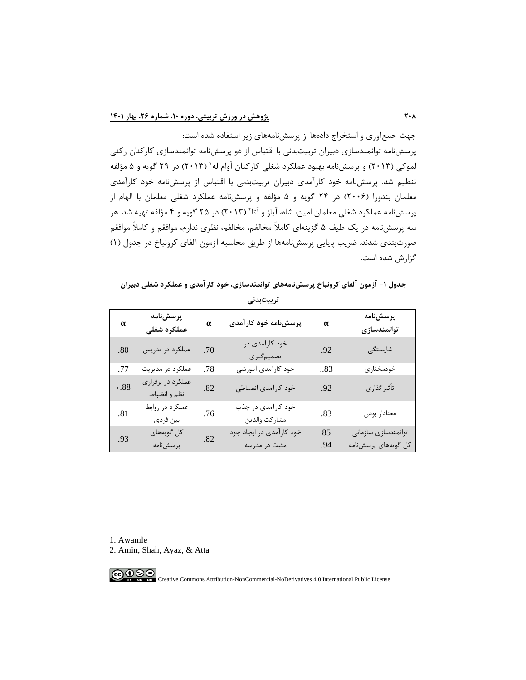جهت جمعآوری و استخراج دادهها از پرسشنامههای زیر استفاده شده است: پرسشنامه توانمندسازی دبیران تربیتبدنی با اقتباس از دو پرسشنامه توانمندسازی کارکنان رکنی لموکی (۲۰۱۳) و پرسشiامه بهبود عملکرد شغلی کارکنان آوام له' (۲۰۱۳) در ۲۹ گویه و ۵ مؤلفه تنظیم شد. پرسش،نامه خود کارآمدی دبیران تربیتبدنی با اقتباس از پرسش،نامه خود کارآمدی معلمان بندورا )200۶( در 24 گویه و ۵ مؤلفه و پرسشنامه عملکرد شغلی معلمان با الهام از پرسشنامه عملکرد شغلی معلمان امین، شاه، آیاز و آتا٬ (۲۰۱۳) در ۲۵ گویه و ۴ مؤلفه تهیه شد. هر سه پرسشنامه در یک طیف ۵ گزینه ای کامالً مخالفم، مخالفم، نظری ندارم، موافقم و کامالً موافقم صورت بندی شدند. ضریب پایایی پرسشنامهها از طریق محاسبه آزمون آلفای کرونباخ در جدول )1( گزارش شده است.

| جدول ۱- آزمون آلفای کرونباخ پرسشiامههای توانمندسازی، خود کارآمدی و عملکرد شغلی دبیران |  |  |  |
|---------------------------------------------------------------------------------------|--|--|--|
|---------------------------------------------------------------------------------------|--|--|--|

| α   | پرسشنامه<br>عملكرد شغلى           | $\alpha$ | پرسشنامه خود کارآمدی                | $\alpha$ | پرسشنامه<br>توانمندسازى |
|-----|-----------------------------------|----------|-------------------------------------|----------|-------------------------|
| .80 | عملکرد در تدریس                   | .70      | خود کارآمدی در<br>تصميم گيري        | .92      | شايستگى                 |
| .77 | عملکرد در مدیریت                  | .78      | خود کارآمدی آموزشی                  | 83       | خودمختاري               |
| .88 | عملکرد در برقراری<br>نظم و انضباط | .82      | خود كارآمدي انضباطي                 | .92      | تأثيركذاري              |
| .81 | عملکرد در روابط<br>بين فردى       | .76      | خود کارآمدی در جذب<br>مشاركت والدين | .83      | معنادار بودن            |
| .93 | کل گویههای                        | .82      | خود کارآمدی در ایجاد جود            | 85       | توانمندسازي سازماني     |
|     | پرسشنامه                          |          | مثبت در مدرسه                       | .94      | كل گويەھاي پرسشنامە     |

**تربیتبدنی**

1. Awamle

2. Amin, Shah, Ayaz, & Atta

$$
\textcircled{\footnotesize\bullet\bullet\circledcirc}
$$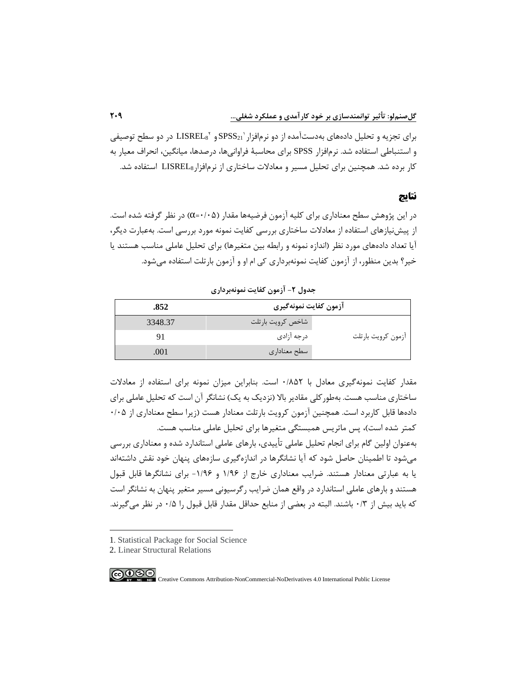1 برای تجزیه و تحلیل دادههای بهدستآمده از دو نرمافزار 2 <sup>21</sup>SPSS و <sup>8</sup>LISREL در دو سطح توصیفی و استنباطی استفاده شد. نرمافزار SPSS برای محاسبۀ فراوانی۵ما، درصدها، میانگین، انحراف معیار به کار برده شد. همچنین برای تحلیل مسیر و معادالت ساختاری از نرمافزار8LISREL استفاده شد.

### **نتایج**

در این پژوهش سطح معناداری برای کلیه آزمون فرضیهها مقدار )0/0۵=α )در نظر گرفته شده است. از پیش نیازهای استفاده از معادلات ساختاری بررسی کفایت نمونه مورد بررسی است. به عبارت دیگر، آیا تعداد دادههای مورد نظر (اندازه نمونه و رابطه بین متغیرها) برای تحلیل عاملی مناسب هستند یا خیر؟ بدین منظور، از آزمون کفایت نمونه برداری کی ام او و آزمون بارتلت استفاده میشود.

**جدول -2 آزمون کفايت نمونهبردار ی** 

| .852    | آزمون كفايت نمونهگيري |                    |  |
|---------|-----------------------|--------------------|--|
| 3348.37 | شاخص كرويت بارتلت     |                    |  |
|         | درجه آزادي            | أزمون كرويت بارتلت |  |
| .001    | إسطح معناداري         |                    |  |

مقدار کفایت نمونهگیری معادل با 0/۸۵2 است. بنابراین میزان نمونه برای استفاده از معادالت ساختاری مناسب هست. بهطور کلی مقادیر بالا (نزدیک به یک) نشانگر آن است که تحلیل عاملی برای دادهها قابل کاربرد است. همچنین آزمون کرویت بارتلت معنادار هست (زیرا سطح معناداری از ۰/۰۵ کمتر شده است)، پس ماتریس همبستگی متغیرها برای تحلیل عاملی مناسب هست.

بهعنوان اولین گام برای انجام تحلیل عاملی تأ ییدی ، بارهای عاملی استاندارد شده و معناداری بررسی میشود تا اطمینان حاصل شود که آیا نشانگرها در اندازهگیری سازههای پنهان خود نقش داشتهاند یا به عبارتی معنادار هستند. ضرایب معناداری خارج از 1/۹۶ و -1/۹۶ برای نشانگرها قابل قبول هستند و بارهای عاملی استاندارد در واقع همان ضرایب رگرسیونی مسیر متغیر پنهان به نشانگر است که باید بیش از 0/3 باشند. البته در بعضی از منابع حداقل مقدار قابل قبول را 0/۵ در نظر میگیرند.

<sup>1</sup>. Statistical Package for Social Science

<sup>2.</sup> Linear Structural Relations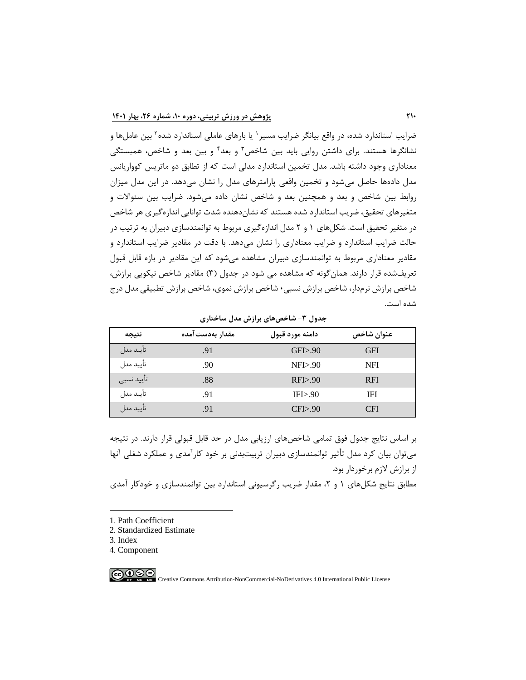ضرایب استاندارد شده، در واقع بیانگر ضرایب مسیر ` یا بارهای عاملی استاندارد شده ` بین عاملها و نشانگرها هستند. برای داشتن روایی باید بین شاخص<sup>۳</sup> و بعد<sup>۲</sup> و بین بعد و شاخص، همبستگی معناداری وجود داشته باشد. مدل تخمین استاندارد مدلی است که از تطابق دو ماتریس کوواریانس مدل داده ها حاصل میشود و تخمین واقعی پارامترهای مدل را نشان میدهد. در این مدل میزان روابط بین شاخص و بعد و همچنین بعد و شاخص نشان داده میشود. ضرایب بین سئواالت و متغیرهای تحقیق، ضریب استاندارد شده هستند که نشاندهنده شدت توانایی اندازهگیری هر شاخص در متغیر تحقیق است. شکلهای 1 و 2 مدل اندازهگیری مربوط به توانمندسازی دبیران به ترتیب در حالت ضرایب استاندارد و ضرایب معناداری را نشان میدهد. با دقت در مقادیر ضرایب استاندارد و مقادیر معناداری مربوط به توانمندسازی دبیران مشاهده میشود که این مقادیر در بازه قابل قبول تعریفشده قرار دارند. همان گونه که مشاهده می شود در جدول (۳) مقادیر شاخص نیکویی برازش، شاخص برازش نرمدار، شاخص برازش نسبی، شاخص برازش نموی، شاخص برازش تطبیقی مدل درج شده است.

#### **جدول -3 شاخصهای برازش مدل ساختاری**

| نتيجه        | مقدار بەدستآمدە | دامنه مورد قبول | عنوان شاخص |
|--------------|-----------------|-----------------|------------|
| تاييد مدل    | .91             | GFI > .90       | <b>GFI</b> |
| تأييد مدل    | .90             | NFI > .90       | NFI        |
| ٰ تأييد نسبى | .88             | RFI > .90       | <b>RFI</b> |
| تأييد مدل    | .91             | IFI > .90       | IFI        |
| تأييد مدل    | .91             | CFI > 90        | <b>CFI</b> |

بر اساس نتایج جدول فوق تمامی شاخصهای ارزیابی مدل در حد قابل قبولی قرار دارند. در نتیجه میتوان بیان کرد مدل تأثیر توانمندسازی دبیران تربیتبدنی بر خود کارآمدی و عملکرد شغلی آنها از برازش الزم برخوردار بود. مطابق نتایج شکلهای ۱ و ۲، مقدار ضریب رگرسیونی استاندارد بین توانمندسازی و خودکار آمدی

1. Path Coefficient

- 2. Standardized Estimate
- 3. Index

4. Component

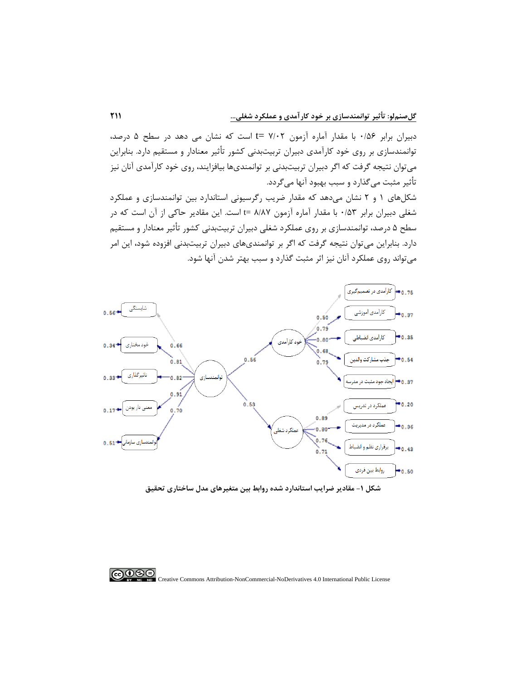دبیران برابر 0/۵۶ با مقدار آماره آزمون 7/02 =t است که نشان می دهد در سطح ۵ درصد، توانمندسازی بر روی خود کارآمد ی دبیران تربیت بدنی کشور تأثیر معنادار و مستقیم دارد. بنابراین میتوان نتیجه گرفت که اگر دبیران تربیتبدنی بر توانمندیها بیافزایند، روی خود کارآمدی آنان نیز تأثیر مثبت می گذارد و سبب بهبود آنها میگردد.

شکلهای 1 و 2 نشان میدهد که مقدار ضریب رگرسیونی استاندارد بین توانمندسازی و عملکرد شغلی دبیران برابر 0/۵3 با مقدار آماره آزمون ۸/۸7 =t است. این مقادیر حاکی از آن است که در سطح ۵ درصد، توانمندسازی بر روی عملکرد شغلی دبیران تربیت بدنی کشور تأثیر معنادار و مستقیم دارد. بنابراین میتوان نتیجه گرفت که اگر بر توانمندیهای دبیران تربیتبدنی افزوده شود، این امر میتواند روی عملکرد آنان نیز اثر مثبت گذارد و سبب بهتر شدن آنها شود.



**شکل -1 مقادير ضرايب استاندارد شده روابط بین متغیرهای مدل ساختاری تحقیق** 

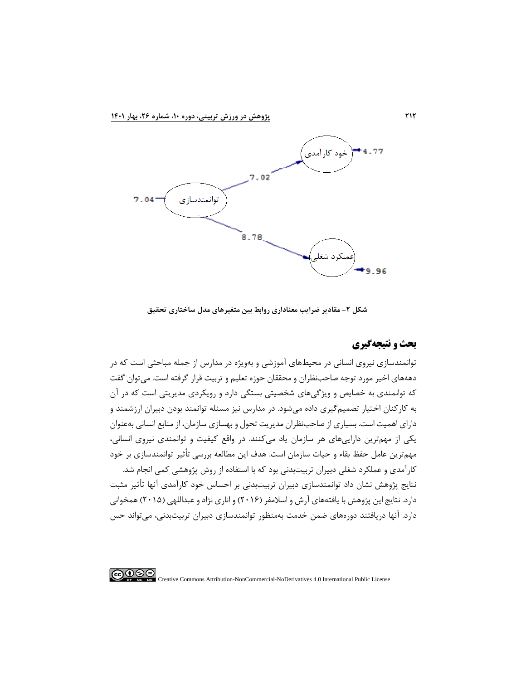

**شکل -2 مقادير ضرايب معناداری روابط بین متغیرهای مدل ساختاری تحقیق** 

## **بحث و نتیجهگیری**

توانمندسازی نیروی انسانی در محیطهای آموزشی و بهویژه در مدارس از جمله مباحثی است که در دهههای اخیر مورد توجه صاحب نظران و محققان حوزه تعلیم و تربیت قرار گرفته است. میتوان گفت که توانمندی به خصایص و ویژگیهای شخصیتی بستگی دارد و رویکردی مدیریتی است که در آن به کارکنان اختیار تصمیمگیری داده میشود. در مدارس نیز مسئله توانمند بودن دبیران ارزشمند و دارای اهمیت است. بسیاری از صاحبنظران مدیریت تحول و بهسازی سازمان، از منابع انسانی بهعنوان یکی از مهمترین داراییهای هر سازمان یاد می کنند. در واقع کیفیت و توانمندی نیروی انسانی، مهمترین عامل حفظ بقاء و حیات سازمان است. هدف این مطالعه بررسی تأثیر توانمندسازی بر خود کارآمدی و عملکرد شغلی دبیران تربیت بدنی بود که با استفاده از روش پژوهشی کمی انجام شد. نتایج پژوهش نشان داد توانمندسازی دبیران تربیت بدنی بر احساس خود کارآمدی آنها تأثیر مثبت دارد. نتایج این پژوهش با یافتههای آرش و اسلامفر (۲۰۱۶) و اناری نژاد و عبداللهی (۲۰۱۵) همخوانی دارد. آنها دریافتند دورههای ضمن خدمت بهمنظور توانمندسازی دبیران تربیتبدنی، میتواند حس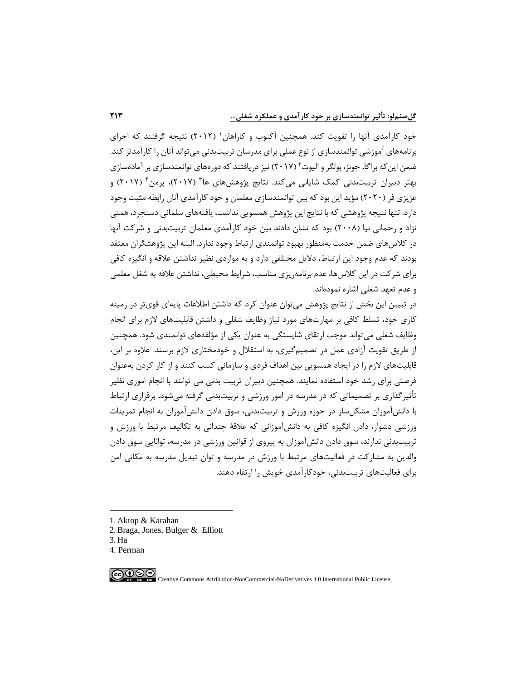خود کارآمدی انها را تقویت کند. همچنین اکتوپ و کاراهان' (۲۰۱۲) نتیجه گرفتند که اجرای برنامههای آموزشی توانمندسازی از نوع عملی برای مدرسان تربیتبدنی میتواند آنان را کارآمدتر کند. ضمن این که براگا، جونز، بولگر و الیوت ٔ (۲۰۱۷) نیز دریافتند که دورههای توانمندسازی بر آمادهسازی بهتر دبیران تربیتبدنی کمک شایانی میکند. نتایج پژوهشهای ها<sup>۲</sup> (۲۰۱۷)، پرمن<sup>۲</sup> (۲۰۱۷) و عزیزی فر (۲۰۲۰) مؤید این بود که بین توانمندسازی معلمان و خود کارآمدی آنان رابطه مثبت وجود دارد. تنها نتیجه پژوهشی که با نتایج این پژوهش همسویی نداشت، یافتههای سلمانی دستجرد، همتی نژاد و رحمانی نیا )200۸( بود که نشان دادند بین خود کارآمدی معلمان تربیتبدنی و شرکت آنها در کالسهای ضمن خدمت بهمنظور بهبود توانمندی ارتباط وجود ندارد. البته این پژوهشگران معتقد بودند که عدم وجود این ارتباط، دالیل مختلفی دارد و به مواردی نظیر نداشتن عالقه و انگیزه کافی برای شرکت در این کالسها، عدم برنامهریزی مناسب، شرایط محیط ی، نداشتن عالقه به شغل معلمی و عدم تعهد شغلی اشاره نمودهاند .

در تبیین این بخش از نتایج پژوهش میتوان عنوان کرد که داشتن اطالعات پایهای قویتر در زمینه کاری خود، تسلط کافی بر مهارتهای مورد نیاز وظایف شغلی و داشتن قابلیتهای الزم برای انجام وظایف شغلی می تواند موجب ارتقای شایستگی به عنوان یکی از مؤلفههای توانمندی شود. همچنین از طریق تقویت آزادی عمل در تصمیمگیری، به استقالل و خودمختاری الزم برسند. عالوه بر این، قابلیتهای الزم را در ایجاد همسویی بین اهداف فردی و سازمانی کسب کنند و از کار کردن بهعنوان فرصتی برای رشد خود استفاده نمایند. همچنین دبیران تربیت بدنی می توانند با انجام اموری نظیر تأثیرگذاری بر تصمیماتی که در مدرسه در امور ورزشی و تربیتبدنی گرفته میشود، برقراری ارتباط با دانشآموزان مشکلساز در حوزه ورزش و تربیتبدن ی، سوق دادن دانشآموزان به انجام تمرینات ورزشی دشوار، دادن انگیزه کافی به دانشآموزانی که عالقۀ چندانی به تکالیف مرتبط با ورزش و تربیتبدنی ندارند، سوق دادن دانشآموزان به پیروی از قوانین ورزشی در مدرسه، توانایی سوق دادن والدین به مشارکت در فعالیتهای مرتبط با ورزش در مدرسه و توان تبدیل مدرسه به مکانی امن برای فعالیتهای تربیتبدنی ، خودکارآمدی خویش را ارتقاء دهند.

- 2. Braga, Jones, Bulger & Elliott
- 3. Ha
- 4. Perman

 $\bigcirc$   $\bullet$ 

<sup>1</sup>. Aktop & Karahan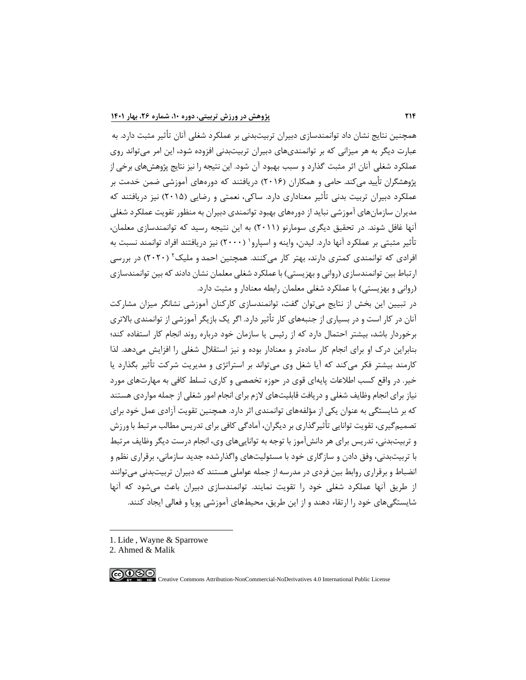همچنین نتایج نشان داد توانمندسازی دبیران تربیتبدنی بر عملکرد شغلی آنان تأثیر مثبت دارد. به عبارت دیگر به هر میزانی که بر توانمندی های دبیران تربیت بدنی افزوده شود، این امر میتواند روی عملکرد شغلی آنان اثر مثبت گذارد و سبب بهبود آن شود. این نتیجه را نیز نتایج پژوهش های برخی از پژوهشگران تأیید می کند. حامی و همکاران )201۶( دریافتند که دورههای آموزشی ضمن خدمت بر عملکرد دبیران تربیت بدنی تأثیر معناداری دارد. ساکی ، نعمتی و رضایی )201۵( نیز دریافتند که مدیران سازمانهای آموزشی نباید از دورههای بهبود توانمندی دبیران به منظور تقویت عملکرد شغلی آنها غافل شوند. در تحقیق دیگری سومارنو )2011( به این نتیجه رسید که توانمندسازی معلمان، تأثیر مثبتی بر عملکرد انها دارد. لیدن، واینه و اسپارو` (۲۰۰۰) نیز دریافتند افراد توانمند نسبت به فرادی که توانمندی کمتری دارند، بهتر کار میکنند. همچنین احمد و ملیک ۲ (۲۰۲۰) در بررسی ارتباط بین توانمندسازی (روانی و بهزیستی) با عملکرد شغلی معلمان نشان دادند که بین توانمندسازی (روانی و بهزیستی) با عملکرد شغلی معلمان رابطه معنادار و مثبت دارد.

در تبیین این بخش از نتایج میتوان گفت، توانمندسازی کارکنان آموزشی نشانگر میزان مشارکت آنان در کار است و در بسیاری از جنبه های کار تأثیر دارد. اگر یک بازیگر آموزشی از توانمندی باالتری برخوردار باشد، بیشتر احتمال دارد که از رئیس یا سازمان خود درباره روند انجام کار استفاده کند؛ بنابراین درک او برای انجام کار سادهتر و معنادار بوده و نیز استقالل شغلی را افزایش میدهد . لذا کارمند بیشتر فکر می کند که آیا شغل وی می تواند بر استراتژی و مدیریت شرکت تأثیر بگذارد یا خیر. در واقع کسب اطالعات پایهای قوی در حوزه تخصصی و کاری، تسلط کافی به مهارتهای مورد نیاز برای انجام وظایف شغلی و دریافت قابلیتهای الزم برای انجام امور شغلی از جمله مواردی هستند که بر شایستگی به عنوان یکی از مؤلفههای توانمندی اثر دارد. همچنین تقویت آزادی عمل خود برای تصمیمگیری، تقویت توانایی تأثیرگذاری بر دیگران، آمادگی کافی برای تدریس مطالب مرتبط با ورزش و تربیتبدنی، تدریس برای هر دانشآموز با توجه به تواناییهای وی، انجام درست دیگر وظایف مرتبط با تربیتبدنی، وفق دادن و سازگاری خود با مسئولیتهای واگذارشده جدید سازمانی، برقراری نظم و انضباط و برقراری روابط بین فردی در مدرسه از جمله عواملی هستند که دبیران تربیتبدنی میتوانند از طریق آنها عملکرد شغلی خود را تقویت نمایند. توانمندسازی دبیران باعث میشود که آنها شایستگیهای خود را ارتقاء دهند و از این طریق، محیطهای آموزشی پویا و فعالی ایجاد کنند.

1. Lide , Wayne & Sparrowe

<sup>2.</sup> Ahmed & Malik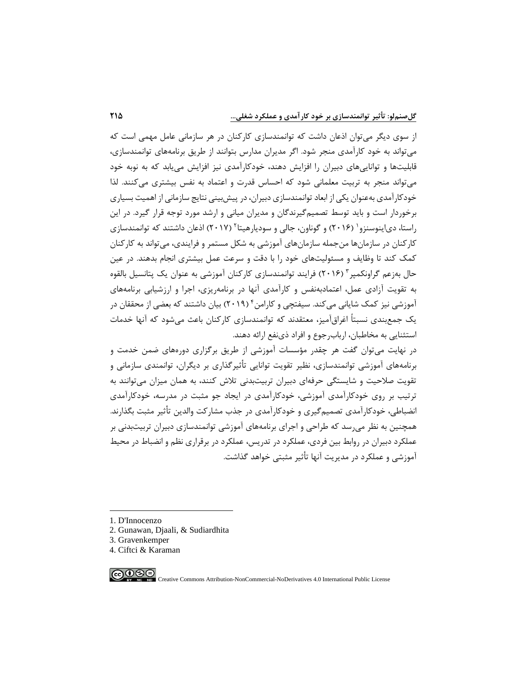از سوی دیگر میتوان اذعان داشت که توانمندسازی کارکنان در هر سازمانی عامل مهمی است که میتواند به خود کارآمدی منجر شود. اگر مدیران مدارس بتوانند از طریق برنامههای توانمندسازی، قابلیتها و تواناییهای دبیران را افزایش دهند، خودکارآمدی نیز افزایش مییابد که به نوبه خود میتواند منجر به تربیت معلمانی شود که احساس قدرت و اعتماد به نفس بیشتری می کنند. لذا خودکارآمدی بهعنوان یکی از ابعاد توانمندسازی دبیران، در پیشبینی نتایج سازمانی از اهمیت بسیاری برخوردار است و باید توسط تصمیمگیرندگان و مدیران میانی و ارشد مورد توجه قرار گیرد. در این راستا، دی|ینوسنزو ( ۲۰۱۶) و گوناون، جالی و سودیارهیتا ۲۰۱۷) اذعان داشتند که توانمندسازی کارکنان در سازمانها منجمله سازمانهای آموزشی به شکل مستمر و فرایندی، میتواند به کارکنان کمک کند تا وظایف و مسئولیتهای خود را با دقت و سرعت عمل بیشتری انجام بدهند. در عین حال بهزعم گراونکمپر ۳ (۲۰۱۶) فرایند توانمندسازی کارکنان آموزشی به عنوان یک پتانسیل بالقوه به تقویت آزادی عمل، اعتمادبهنفس و کارآمدی آنها در برنامهریزی، اجرا و ارزشیابی برنامههای آموزشی نیز کمک شایانی میکند. سیفتچی و کارامن† (۲۰۱۹) بیان داشتند که بعضی از محققان در یک جمعبندی نسبتاً اغراق آمیز، معتقدند که توانمندسازی کارکنان باعث میشود که آنها خدمات استثنایی به مخاطبان، اربابرجوع و افراد ذینفع ارائه دهند.

در نهایت میتوان گفت هر چقدر مؤسسات آموزشی از طریق برگزاری دورههای ضمن خدمت و برنامههای آموزشی توانمندسازی، نظیر تقویت توانایی تأثیرگذاری بر دیگران، توانمندی سازمانی و تقویت صالحیت و شایستگی حرفهای دبیران تربیت بدنی تالش کنند، به همان میزان میتوانند به ترتیب بر روی خودکارآمدی آموزشی، خودکارآمدی در ایجاد جو مثبت در مدرسه، خودکارآمدی انضباطی، خودکارآمدی تصمیمگیری و خودکارآمدی در جذب مشارکت والدین تأثیر مثبت بگذارند. همچنین به نظر میرسد که طراحی و اجرای برنامههای آموزشی توانمندسازی دبیران تربیت بدنی بر عملکرد دبیران در روابط بین فردی، عملکرد در تدریس، عملکرد در برقراری نظم و انضباط در محیط آموزشی و عملکرد در مدیریت آنها تأثیر مثبتی خواهد گذاشت.

1. D'Innocenzo

- 2. Gunawan, Djaali, & Sudiardhita
- 3. Gravenkemper
- 4. Ciftci & Karaman

∣ை⊛⊜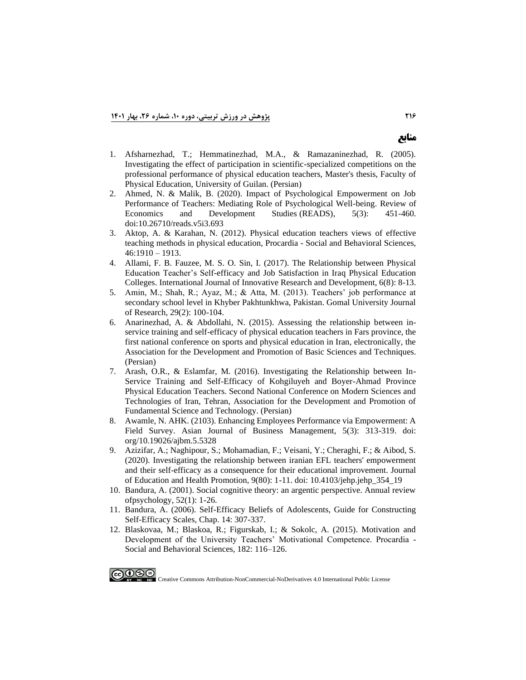- 1. Afsharnezhad, T.; Hemmatinezhad, M.A., & Ramazaninezhad, R. (2005). Investigating the effect of participation in scientific-specialized competitions on the professional performance of physical education teachers, Master's thesis, Faculty of Physical Education, University of Guilan. (Persian)
- 2. Ahmed, N. & Malik, B. (2020). Impact of Psychological Empowerment on Job Performance of Teachers: Mediating Role of Psychological Well-being. Review of Economics and Development Studies (READS), 5(3): 451-460. doi:10.26710/reads.v5i3.693
- 3. Aktop, A. & Karahan, N. (2012). Physical education teachers views of effective teaching methods in physical education, Procardia - Social and Behavioral Sciences, 46:1910 – 1913.
- 4. Allami, F. B. Fauzee, M. S. O. Sin, I. (2017). The Relationship between Physical Education Teacher's Self-efficacy and Job Satisfaction in Iraq Physical Education Colleges. International Journal of Innovative Research and Development, 6(8): 8-13.
- 5. Amin, M.; Shah, R.; Ayaz, M.; & Atta, M. (2013). Teachers' job performance at secondary school level in Khyber Pakhtunkhwa, Pakistan. Gomal University Journal of Research, 29(2): 100-104.
- 6. Anarinezhad, A. & Abdollahi, N. (2015). Assessing the relationship between inservice training and self-efficacy of physical education teachers in Fars province, the first national conference on sports and physical education in Iran, electronically, the Association for the Development and Promotion of Basic Sciences and Techniques. (Persian)
- 7. Arash, O.R., & Eslamfar, M. (2016). Investigating the Relationship between In-Service Training and Self-Efficacy of Kohgiluyeh and Boyer-Ahmad Province Physical Education Teachers. Second National Conference on Modern Sciences and Technologies of Iran, Tehran, Association for the Development and Promotion of Fundamental Science and Technology. (Persian)
- 8. Awamle, N. AHK. (2103). Enhancing Employees Performance via Empowerment: A Field Survey. Asian Journal of Business Management, 5(3): 313-319. doi: org/10.19026/ajbm.5.5328
- 9. Azizifar, A.; Naghipour, S.; Mohamadian, F.; Veisani, Y.; Cheraghi, F.; & Aibod, S. (2020). Investigating the relationship between iranian EFL teachers' empowerment and their self-efficacy as a consequence for their educational improvement. Journal of Education and Health Promotion, 9(80): 1-11. doi: 10.4103/jehp.jehp\_354\_19
- 10. Bandura, A. (2001). Social cognitive theory: an argentic perspective. Annual review ofpsychology, 52(1): 1-26.
- 11. Bandura, A. (2006). Self-Efficacy Beliefs of Adolescents, Guide for Constructing Self-Efficacy Scales, Chap. 14: 307-337.
- 12. Blaskovaa, M.; Blaskoa, R.; Figurskab, I.; & Sokolc, A. (2015). Motivation and Development of the University Teachers' Motivational Competence. Procardia - Social and Behavioral Sciences, 182: 116–126.

௵

Creative Commons Attribution-NonCommercial-NoDerivatives 4.0 International Public License

**منابع**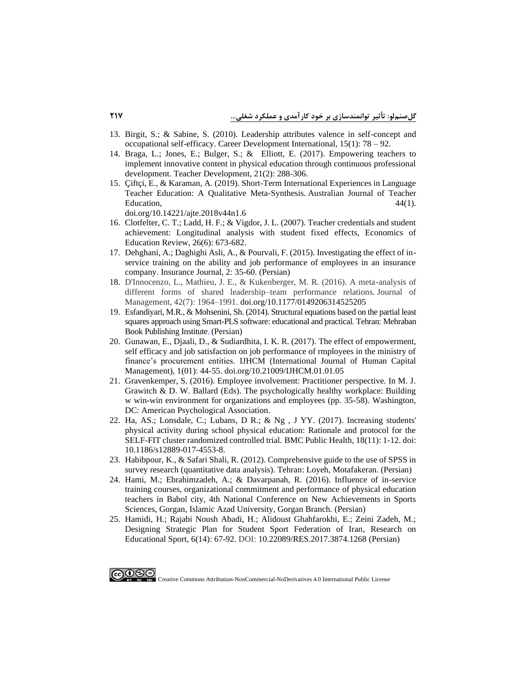- 13. Birgit, S.; & Sabine, S. (2010). Leadership attributes valence in self-concept and occupational self-efficacy. Career Development International, 15(1): 78 – 92.
- 14. Braga, L.; Jones, E.; Bulger, S.; & Elliott, E. (2017). Empowering teachers to implement innovative content in physical education through continuous professional development. Teacher Development, 21(2): 288-306.
- 15. Çiftçi, E., & Karaman, A. (2019). Short-Term International Experiences in Language Teacher Education: A Qualitative Meta-Synthesis. Australian Journal of Teacher Education,  $44(1)$ .

doi.org/10.14221/ajte.2018v44n1.6

- 16. Clotfelter, C. T.; Ladd, H. F.; & Vigdor, J. L. (2007). Teacher credentials and student achievement: Longitudinal analysis with student fixed effects, Economics of Education Review, 26(6): 673-682.
- 17. Dehghani, A.; Daghighi Asli, A., & Pourvali, F. (2015). Investigating the effect of inservice training on the ability and job performance of employees in an insurance company. Insurance Journal, 2: 35-60. (Persian)
- 18. D'Innocenzo, L., Mathieu, J. E., & Kukenberger, M. R. (2016). A meta-analysis of different forms of shared leadership–team performance relations. Journal of Management, 42(7): 1964–1991. doi.org/10.1177/0149206314525205
- 19. Esfandiyari, M.R., & Mohsenini, Sh. (2014). Structural equations based on the partial least squares approach using Smart-PLS software: educational and practical. Tehran: Mehraban Book Publishing Institute. (Persian)
- 20. Gunawan, E., Djaali, D., & Sudiardhita, I. K. R. (2017). The effect of empowerment, self efficacy and job satisfaction on job performance of rmployees in the ministry of finance's procurement entities. IJHCM (International Journal of Human Capital Management), 1(01): 44-55. doi.org/10.21009/IJHCM.01.01.05
- 21. Gravenkemper, S. (2016). Employee involvement: Practitioner perspective. In M. J. Grawitch & D. W. Ballard (Eds). The psychologically healthy workplace: Building w win-win environment for organizations and employees (pp. 35-58). Washington, DC: American Psychological Association.
- 22. Ha, AS.; Lonsdale, C.; Lubans, D R.; & Ng , J YY. (2017). Increasing students' physical activity during school physical education: Rationale and protocol for the SELF-FIT cluster randomized controlled trial. BMC Public Health, 18(11): 1-12. doi: 10.1186/s12889-017-4553-8.
- 23. Habibpour, K., & Safari Shali, R. (2012). Comprehensive guide to the use of SPSS in survey research (quantitative data analysis). Tehran: Loyeh, Motafakeran. (Persian)
- 24. Hami, M.; Ebrahimzadeh, A.; & Davarpanah, R. (2016). Influence of in-service training courses, organizational commitment and performance of physical education teachers in Babol city, 4th National Conference on New Achievements in Sports Sciences, Gorgan, Islamic Azad University, Gorgan Branch. (Persian)
- 25. Hamidi, H.; Rajabi Noush Abadi, H.; Alidoust Ghahfarokhi, E.; Zeini Zadeh, M.; Designing Strategic Plan for Student Sport Federation of Iran, Research on Educational Sport, 6(14): 67-92. DOI: [10.22089/RES.2017.3874.1268](https://dx.doi.org/10.22089/res.2017.3874.1268) (Persian)

ெ⊕⊕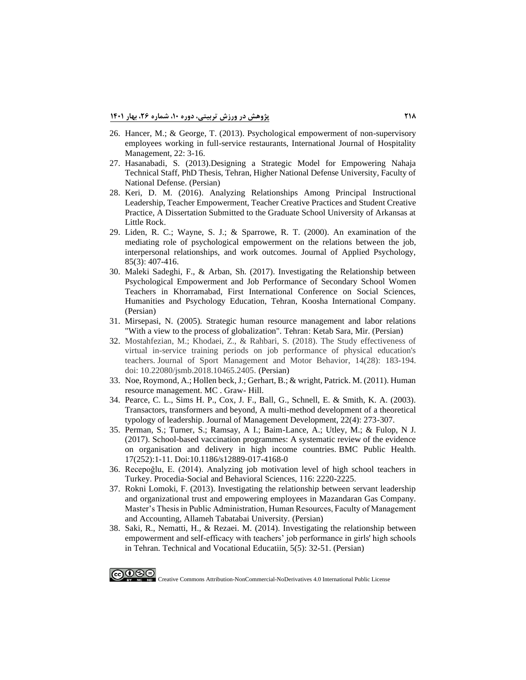- 26. Hancer, M.; & George, T. (2013). Psychological empowerment of non-supervisory employees working in full-service restaurants, International Journal of Hospitality Management, 22: 3-16.
- 27. Hasanabadi, S. (2013).Designing a Strategic Model for Empowering Nahaja Technical Staff, PhD Thesis, Tehran, Higher National Defense University, Faculty of National Defense. (Persian)
- 28. Keri, D. M. (2016). Analyzing Relationships Among Principal Instructional Leadership, Teacher Empowerment, Teacher Creative Practices and Student Creative Practice, A Dissertation Submitted to the Graduate School University of Arkansas at Little Rock.
- 29. Liden, R. C.; Wayne, S. J.; & Sparrowe, R. T. (2000). An examination of the mediating role of psychological empowerment on the relations between the job, interpersonal relationships, and work outcomes. Journal of Applied Psychology, 85(3): 407-416.
- 30. Maleki Sadeghi, F., & Arban, Sh. (2017). Investigating the Relationship between Psychological Empowerment and Job Performance of Secondary School Women Teachers in Khorramabad, First International Conference on Social Sciences, Humanities and Psychology Education, Tehran, Koosha International Company. (Persian)
- 31. Mirsepasi, N. (2005). Strategic human resource management and labor relations "With a view to the process of globalization". Tehran: Ketab Sara, Mir. (Persian)
- 32. Mostahfezian, M.; Khodaei, Z., & Rahbari, S. (2018). The Study effectiveness of virtual in-service training periods on job performance of physical education's teachers. Journal of Sport Management and Motor Behavior, 14(28): 183-194. doi: 10.22080/jsmb.2018.10465.2405. (Persian)
- 33. Noe, Roymond, A.; Hollen beck, J.; Gerhart, B.; & wright, Patrick. M. (2011). Human resource management. MC . Graw- Hill.
- 34. Pearce, C. L., Sims H. P., Cox, J. F., Ball, G., Schnell, E. & Smith, K. A. (2003). Transactors, transformers and beyond, A multi-method development of a theoretical typology of leadership. Journal of Management Development, 22(4): 273-307.
- 35. Perman, S.; Turner, S.; Ramsay, A I.; Baim-Lance, A.; Utley, M.; & Fulop, N J. (2017). School-based vaccination programmes: A systematic review of the evidence on organisation and delivery in high income countries. BMC Public Health. 17(252):1-11. Doi:10.1186/s12889-017-4168-0
- 36. Recepoğlu, E. (2014). Analyzing job motivation level of high school teachers in Turkey. Procedia-Social and Behavioral Sciences, 116: 2220-2225.
- 37. Rokni Lomoki, F. (2013). Investigating the relationship between servant leadership and organizational trust and empowering employees in Mazandaran Gas Company. Master's Thesis in Public Administration, Human Resources, Faculty of Management and Accounting, Allameh Tabatabai University. (Persian)
- 38. Saki, R., Nematti, H., & Rezaei. M. (2014). Investigating the relationship between empowerment and self-efficacy with teachers' job performance in girls' high schools in Tehran. Technical and Vocational Educatiin, 5(5): 32-51. (Persian)

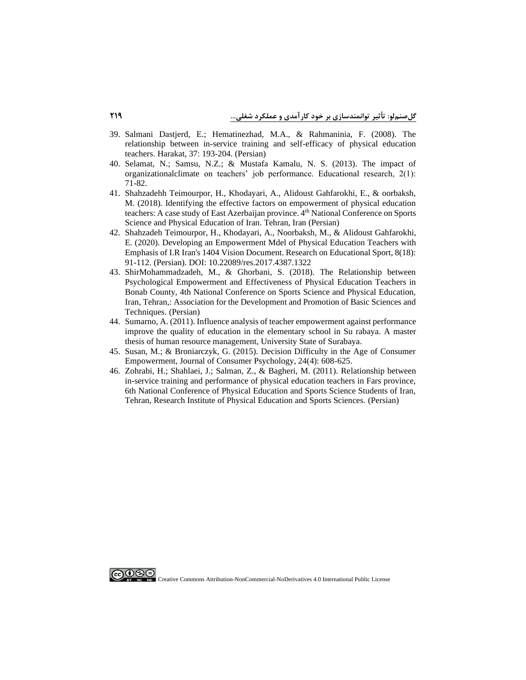- 39. Salmani Dastjerd, E.; Hematinezhad, M.A., & Rahmaninia, F. (2008). The relationship between in-service training and self-efficacy of physical education teachers. Harakat, 37: 193-204. (Persian)
- 40. Selamat, N.; Samsu, N.Z.; & Mustafa Kamalu, N. S. (2013). The impact of organizationalclimate on teachers' job performance. Educational research, 2(1): 71-82.
- 41. Shahzadehh Teimourpor, H., Khodayari, A., Alidoust Gahfarokhi, E., & oorbaksh, M. (2018). Identifying the effective factors on empowerment of physical education teachers: A case study of East Azerbaijan province. 4<sup>th</sup> National Conference on Sports Science and Physical Education of Iran. Tehran, Iran (Persian)
- 42. Shahzadeh Teimourpor, H., Khodayari, A., Noorbaksh, M., & Alidoust Gahfarokhi, E. (2020). Developing an Empowerment Mdel of Physical Education Teachers with Emphasis of I.R Iran's 1404 Vision Document. Research on Educational Sport, 8(18): 91-112. (Persian). DOI: 10.22089/res.2017.4387.1322
- 43. ShirMohammadzadeh, M., & Ghorbani, S. (2018). The Relationship between Psychological Empowerment and Effectiveness of Physical Education Teachers in Bonab County, 4th National Conference on Sports Science and Physical Education, Iran, Tehran,: Association for the Development and Promotion of Basic Sciences and Techniques. (Persian)
- 44. Sumarno, A. (2011). Influence analysis of teacher empowerment against performance improve the quality of education in the elementary school in Su rabaya. A master thesis of human resource management, University State of Surabaya.
- 45. Susan, M.; & Broniarczyk, G. (2015). Decision Difficulty in the Age of Consumer Empowerment, Journal of Consumer Psychology, 24(4): 608-625.
- 46. Zohrabi, H.; Shahlaei, J.; Salman, Z., & Bagheri, M. (2011). Relationship between in-service training and performance of physical education teachers in Fars province, 6th National Conference of Physical Education and Sports Science Students of Iran, Tehran, Research Institute of Physical Education and Sports Sciences. (Persian)